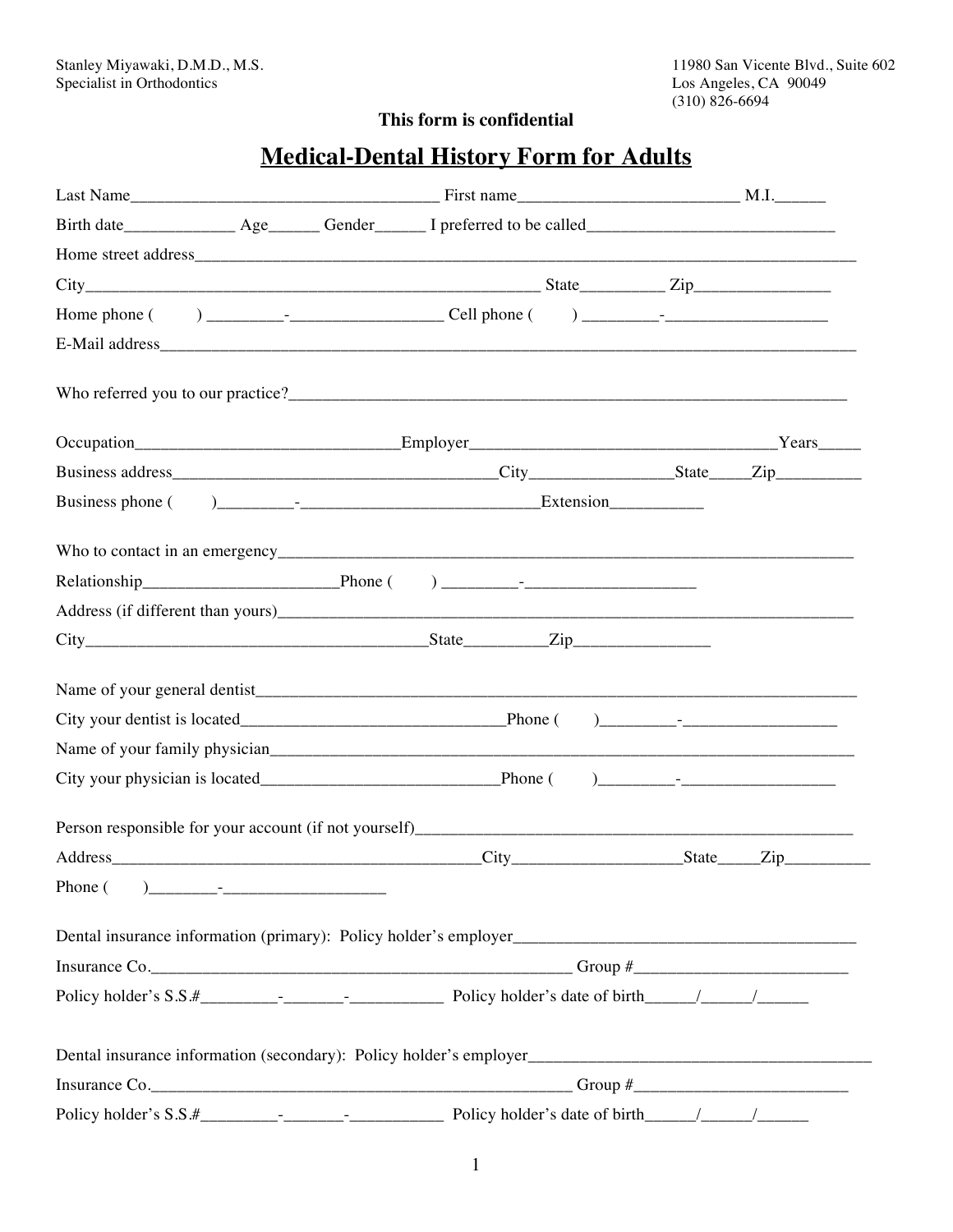## **This form is confidential**

# **Medical-Dental History Form for Adults**

|         | $City$ $City$ $Size$ $Type$ $Type$ |  |
|---------|------------------------------------|--|
|         |                                    |  |
|         |                                    |  |
|         |                                    |  |
|         |                                    |  |
|         |                                    |  |
|         |                                    |  |
| Phone ( |                                    |  |
|         |                                    |  |
|         |                                    |  |
|         |                                    |  |
|         |                                    |  |
|         |                                    |  |
|         | Insurance Co.                      |  |
|         |                                    |  |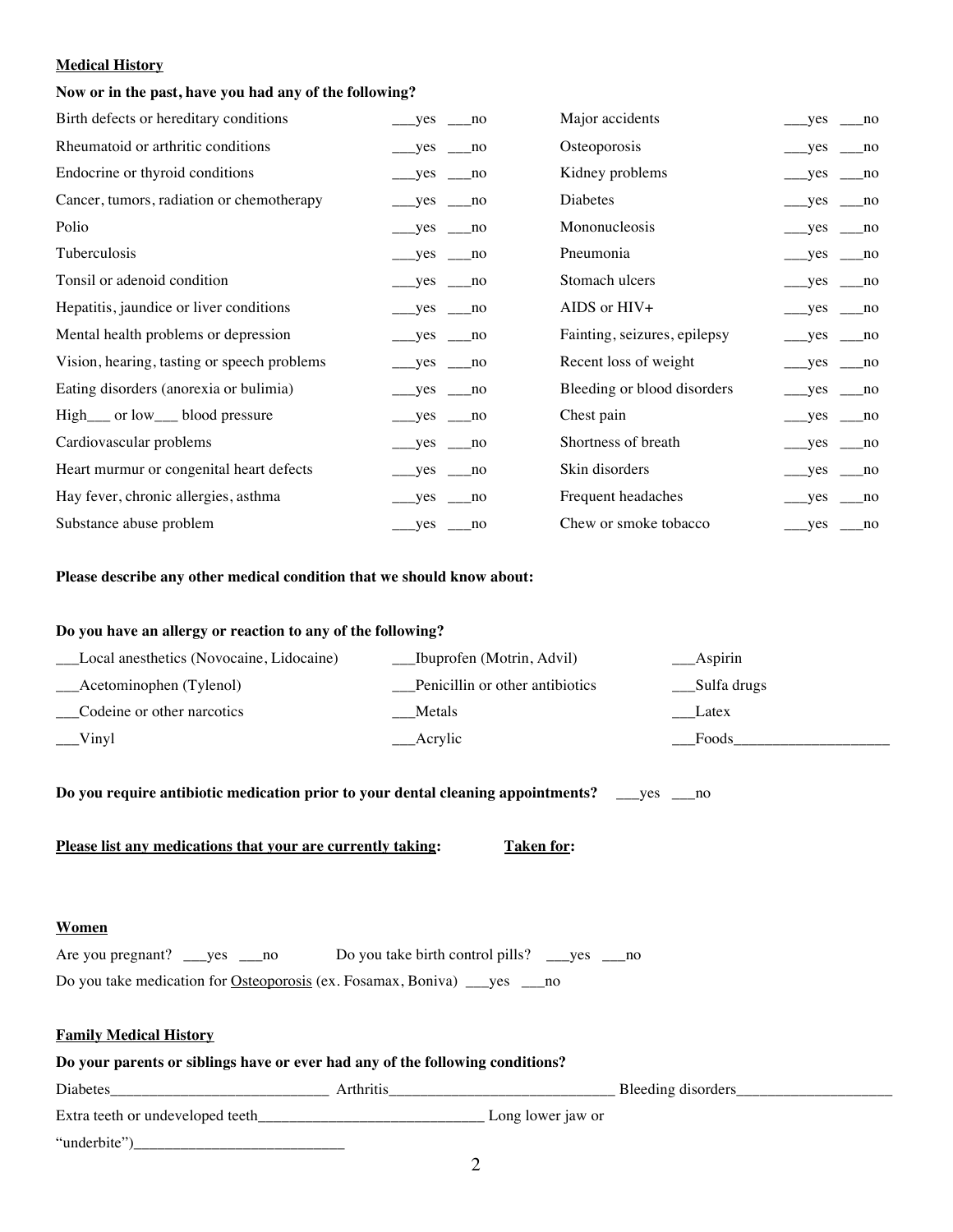#### **Medical History**

## **Now or in the past, have you had any of the following?**

| Birth defects or hereditary conditions      | yes no                 |             | Major accidents              | yes                                   | no            |
|---------------------------------------------|------------------------|-------------|------------------------------|---------------------------------------|---------------|
| Rheumatoid or arthritic conditions          | $yes$ no               |             | Osteoporosis                 | $\_\_\$ yes $\_\_\$ no                |               |
| Endocrine or thyroid conditions             | $yes \_ no$            |             | Kidney problems              | $yes$ no                              |               |
| Cancer, tumors, radiation or chemotherapy   | $\_\_\$ yes $\_\_\$ no |             | Diabetes                     | $yes$ no                              |               |
| Polio                                       | $\_\_\$ yes $\_\_\$ no |             | Mononucleosis                | $_{\text{meas}}$ yes $_{\text{meas}}$ |               |
| Tuberculosis                                | $__yes__no$            |             | Pneumonia                    | $\_\_$ yes $\_\_$ no                  |               |
| Tonsil or adenoid condition                 | $yes$ no               |             | Stomach ulcers               | $yes$ no                              |               |
| Hepatitis, jaundice or liver conditions     | $\_\$ yes $\_\$ no     |             | AIDS or HIV+                 | $\_\$ {yes} \_\_no                    |               |
| Mental health problems or depression        | $yes$ no               |             | Fainting, seizures, epilepsy | $\_\_\$ yes $\_\_\$ no                |               |
| Vision, hearing, tasting or speech problems | $\_\$ {yes} \_\_no     |             | Recent loss of weight        | $\_\$ yes $\_\$ no                    |               |
| Eating disorders (anorexia or bulimia)      | $\_\$ yes $\_\$ no     |             | Bleeding or blood disorders  | $\_\_$ yes $\_\_$ no                  |               |
| High__ or low__ blood pressure              | $\_\_$ yes $\_\_$ no   |             | Chest pain                   | $\_\$ yes $\_\$ no                    |               |
| Cardiovascular problems                     | $yes$ no               |             | Shortness of breath          | yes                                   | $\sqrt{ }$ no |
| Heart murmur or congenital heart defects    | $\_\_$ yes $\_\_$ no   |             | Skin disorders               | $\_\_\$ yes $\_\_\$ no                |               |
| Hay fever, chronic allergies, asthma        | yes                    | no          | Frequent headaches           | yes                                   | no            |
| Substance abuse problem                     | __yes                  | $\equiv$ no | Chew or smoke tobacco        | yes                                   | $\equiv$ no   |

**Please describe any other medical condition that we should know about:**

| Do you have an allergy or reaction to any of the following? |                                 |              |  |  |
|-------------------------------------------------------------|---------------------------------|--------------|--|--|
| Local anesthetics (Novocaine, Lidocaine)                    | Ibuprofen (Motrin, Advil)       | __Aspirin    |  |  |
| Acetominophen (Tylenol)                                     | Penicillin or other antibiotics | _Sulfa drugs |  |  |
| Codeine or other narcotics                                  | Metals                          | Latex        |  |  |
| $\sqrt{\frac{1}{\text{lny}}}$                               | Acrylic                         | Foods        |  |  |
|                                                             |                                 |              |  |  |

**Do you require antibiotic medication prior to your dental cleaning appointments?** \_\_\_yes \_\_\_no

**Please list any medications that your are currently taking:** Taken for:

### **Women**

Are you pregnant? \_\_\_yes \_\_\_no Do you take birth control pills? \_\_\_yes \_\_\_no Do you take medication for **Osteoporosis** (ex. Fosamax, Boniva) \_\_yes \_\_no

## **Family Medical History**

| Do your parents or siblings have or ever had any of the following conditions? |                  |                   |                    |  |
|-------------------------------------------------------------------------------|------------------|-------------------|--------------------|--|
| <b>Diabetes</b>                                                               | <b>Arthritis</b> |                   | Bleeding disorders |  |
| Extra teeth or undeveloped teeth                                              |                  | Long lower jaw or |                    |  |
| "underbite"                                                                   |                  |                   |                    |  |